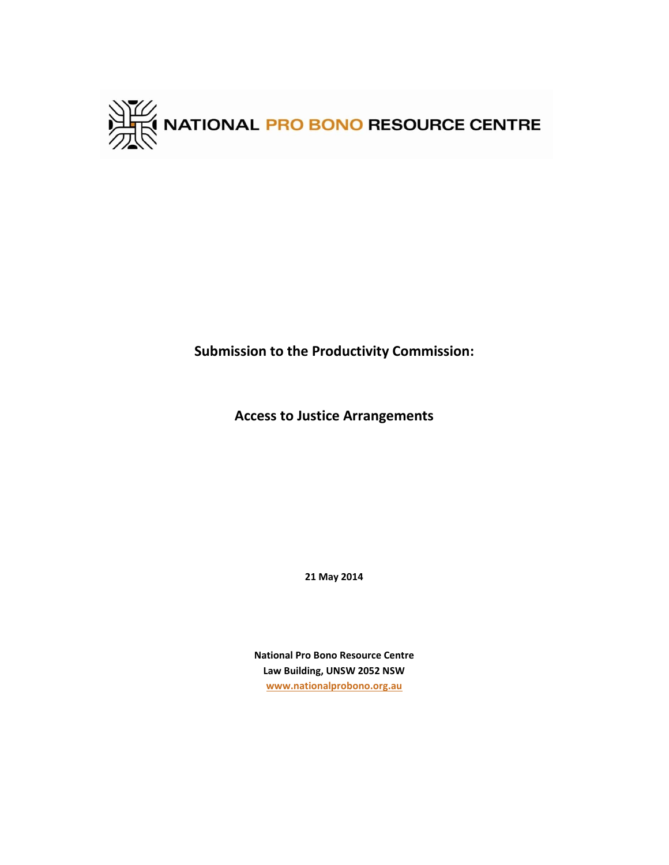

**Submission to the Productivity Commission:**

**Access to Justice Arrangements**

**21 May 2014**

**National Pro Bono Resource Centre Law Building, UNSW 2052 NSW [www.nationalprobono.org.au](http://www.nationalprobono.org.au/)**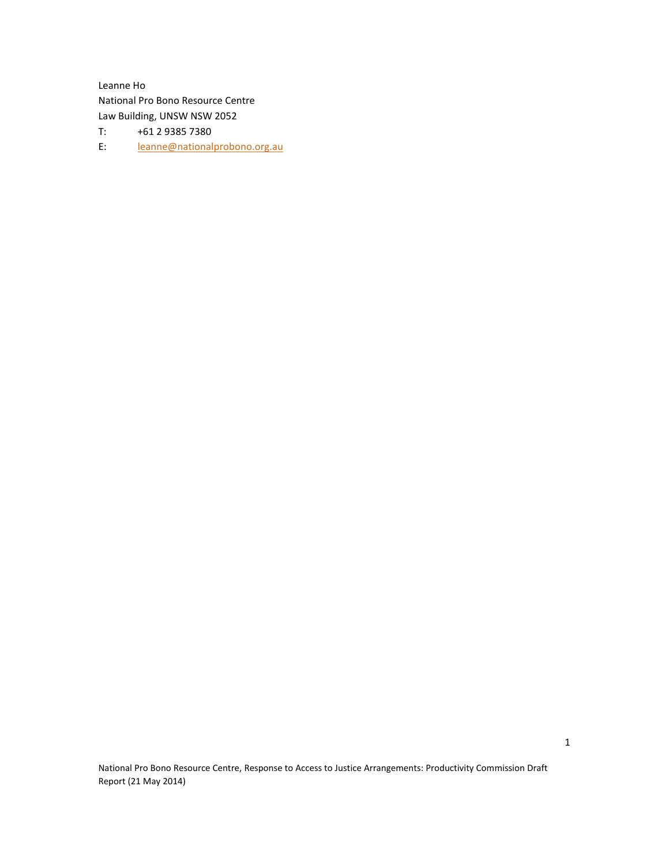Leanne Ho National Pro Bono Resource Centre Law Building, UNSW NSW 2052

- T: +61 2 9385 7380
- E: [leanne@nationalprobono.org.au](mailto:leanne@nationalprobono.org.au)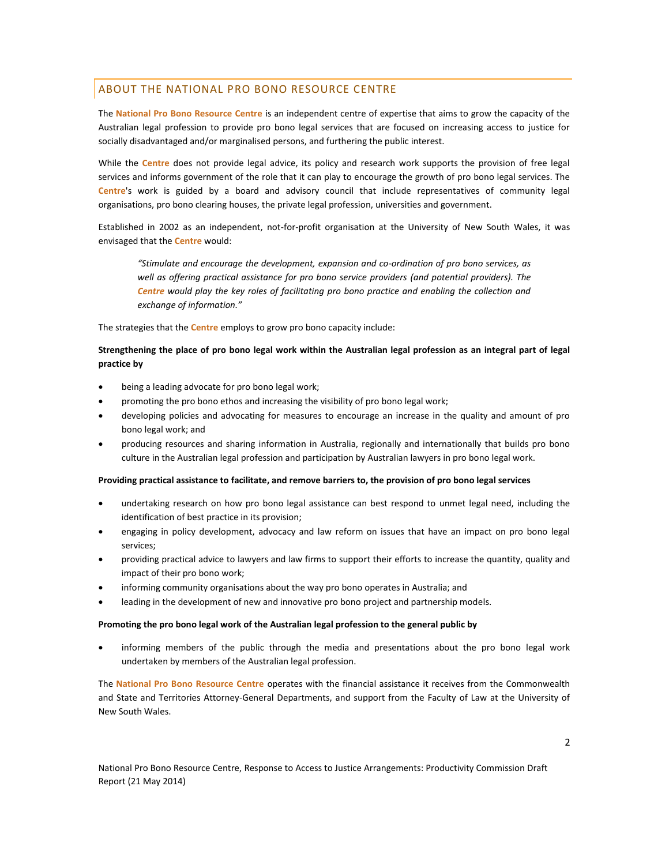#### ABOUT THE NATIONAL PRO BONO RESOURCE CENTRE

The **National Pro Bono Resource Centre** is an independent centre of expertise that aims to grow the capacity of the Australian legal profession to provide pro bono legal services that are focused on increasing access to justice for socially disadvantaged and/or marginalised persons, and furthering the public interest.

While the **Centre** does not provide legal advice, its policy and research work supports the provision of free legal services and informs government of the role that it can play to encourage the growth of pro bono legal services. The **Centre**'s work is guided by a board and advisory council that include representatives of community legal organisations, pro bono clearing houses, the private legal profession, universities and government.

Established in 2002 as an independent, not-for-profit organisation at the University of New South Wales, it was envisaged that the **Centre** would:

*"Stimulate and encourage the development, expansion and co-ordination of pro bono services, as well as offering practical assistance for pro bono service providers (and potential providers). The Centre would play the key roles of facilitating pro bono practice and enabling the collection and exchange of information."* 

The strategies that the **Centre** employs to grow pro bono capacity include:

#### **Strengthening the place of pro bono legal work within the Australian legal profession as an integral part of legal practice by**

- being a leading advocate for pro bono legal work;
- promoting the pro bono ethos and increasing the visibility of pro bono legal work;
- developing policies and advocating for measures to encourage an increase in the quality and amount of pro bono legal work; and
- producing resources and sharing information in Australia, regionally and internationally that builds pro bono culture in the Australian legal profession and participation by Australian lawyers in pro bono legal work.

#### **Providing practical assistance to facilitate, and remove barriers to, the provision of pro bono legal services**

- undertaking research on how pro bono legal assistance can best respond to unmet legal need, including the identification of best practice in its provision;
- engaging in policy development, advocacy and law reform on issues that have an impact on pro bono legal services;
- providing practical advice to lawyers and law firms to support their efforts to increase the quantity, quality and impact of their pro bono work;
- informing community organisations about the way pro bono operates in Australia; and
- leading in the development of new and innovative pro bono project and partnership models.

#### **Promoting the pro bono legal work of the Australian legal profession to the general public by**

 informing members of the public through the media and presentations about the pro bono legal work undertaken by members of the Australian legal profession.

The **National Pro Bono Resource Centre** operates with the financial assistance it receives from the Commonwealth and State and Territories Attorney-General Departments, and support from the Faculty of Law at the University of New South Wales.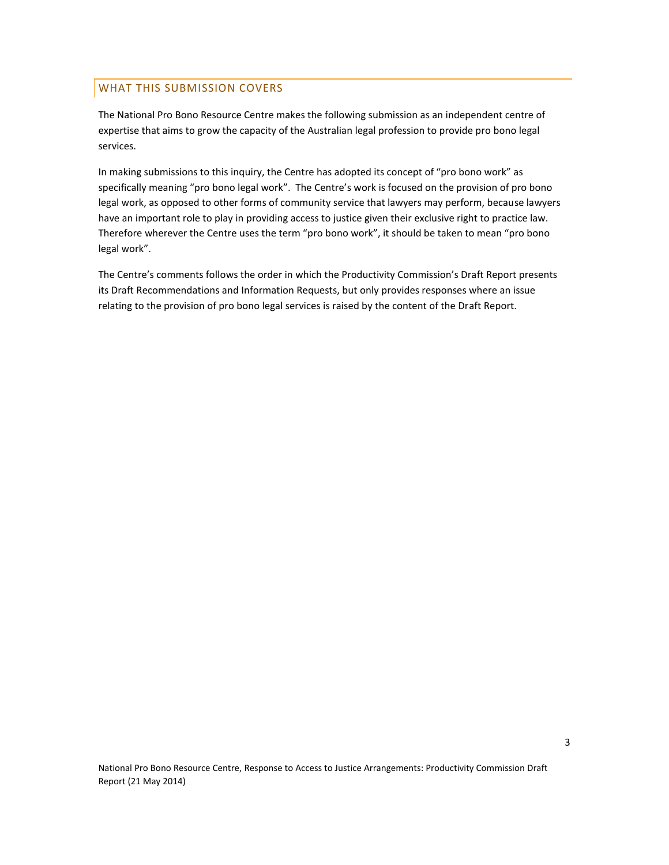#### WHAT THIS SUBMISSION COVERS

The National Pro Bono Resource Centre makes the following submission as an independent centre of expertise that aims to grow the capacity of the Australian legal profession to provide pro bono legal services.

In making submissions to this inquiry, the Centre has adopted its concept of "pro bono work" as specifically meaning "pro bono legal work". The Centre's work is focused on the provision of pro bono legal work, as opposed to other forms of community service that lawyers may perform, because lawyers have an important role to play in providing access to justice given their exclusive right to practice law. Therefore wherever the Centre uses the term "pro bono work", it should be taken to mean "pro bono legal work".

The Centre's comments follows the order in which the Productivity Commission's Draft Report presents its Draft Recommendations and Information Requests, but only provides responses where an issue relating to the provision of pro bono legal services is raised by the content of the Draft Report.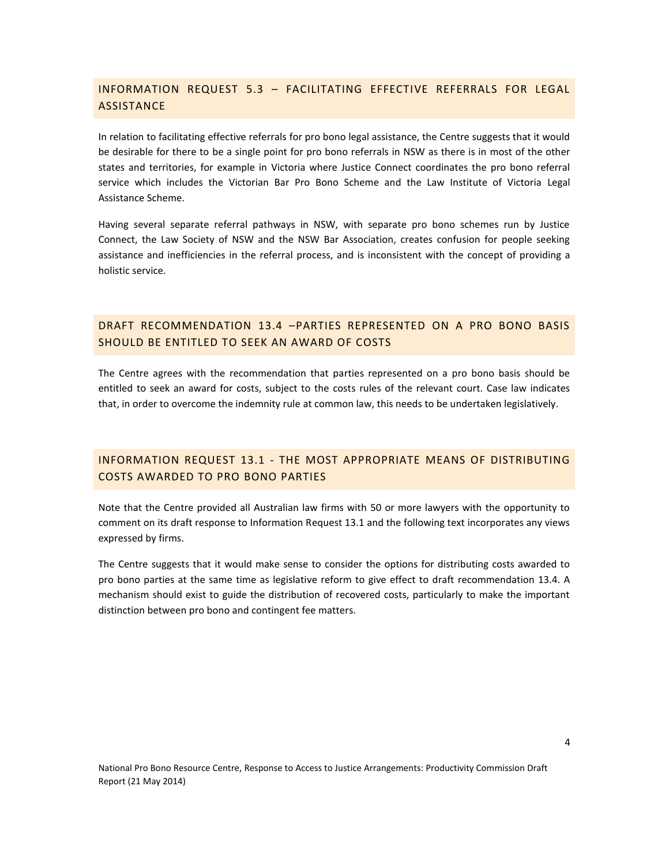# INFORMATION REQUEST 5.3 – FACILITATING EFFECTIVE REFERRALS FOR LEGAL **ASSISTANCE**

In relation to facilitating effective referrals for pro bono legal assistance, the Centre suggests that it would be desirable for there to be a single point for pro bono referrals in NSW as there is in most of the other states and territories, for example in Victoria where Justice Connect coordinates the pro bono referral service which includes the Victorian Bar Pro Bono Scheme and the Law Institute of Victoria Legal Assistance Scheme.

Having several separate referral pathways in NSW, with separate pro bono schemes run by Justice Connect, the Law Society of NSW and the NSW Bar Association, creates confusion for people seeking assistance and inefficiencies in the referral process, and is inconsistent with the concept of providing a holistic service.

### DRAFT RECOMMENDATION 13.4 –PARTIES REPRESENTED ON A PRO BONO BASIS SHOULD BE ENTITLED TO SEEK AN AWARD OF COSTS

The Centre agrees with the recommendation that parties represented on a pro bono basis should be entitled to seek an award for costs, subject to the costs rules of the relevant court. Case law indicates that, in order to overcome the indemnity rule at common law, this needs to be undertaken legislatively.

# INFORMATION REQUEST 13.1 - THE MOST APPROPRIATE MEANS OF DISTRIBUTING COSTS AWARDED TO PRO BONO PARTIES

Note that the Centre provided all Australian law firms with 50 or more lawyers with the opportunity to comment on its draft response to Information Request 13.1 and the following text incorporates any views expressed by firms.

The Centre suggests that it would make sense to consider the options for distributing costs awarded to pro bono parties at the same time as legislative reform to give effect to draft recommendation 13.4. A mechanism should exist to guide the distribution of recovered costs, particularly to make the important distinction between pro bono and contingent fee matters.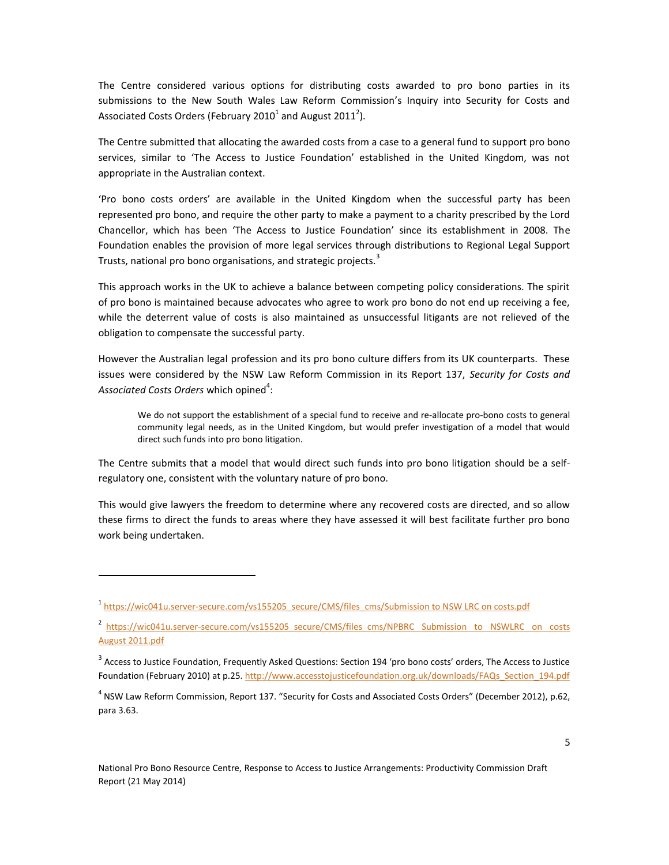The Centre considered various options for distributing costs awarded to pro bono parties in its submissions to the New South Wales Law Reform Commission's Inquiry into Security for Costs and Associated Costs Orders (February 2010<sup>1</sup> and August 2011<sup>2</sup>).

The Centre submitted that allocating the awarded costs from a case to a general fund to support pro bono services, similar to 'The Access to Justice Foundation' established in the United Kingdom, was not appropriate in the Australian context.

'Pro bono costs orders' are available in the United Kingdom when the successful party has been represented pro bono, and require the other party to make a payment to a charity prescribed by the Lord Chancellor, which has been 'The Access to Justice Foundation' since its establishment in 2008. The Foundation enables the provision of more legal services through distributions to Regional Legal Support Trusts, national pro bono organisations, and strategic projects.<sup>3</sup>

This approach works in the UK to achieve a balance between competing policy considerations. The spirit of pro bono is maintained because advocates who agree to work pro bono do not end up receiving a fee, while the deterrent value of costs is also maintained as unsuccessful litigants are not relieved of the obligation to compensate the successful party.

However the Australian legal profession and its pro bono culture differs from its UK counterparts. These issues were considered by the NSW Law Reform Commission in its Report 137, *Security for Costs and*  Ass*ociated Costs Orders* which opined $^4$ :

We do not support the establishment of a special fund to receive and re-allocate pro-bono costs to general community legal needs, as in the United Kingdom, but would prefer investigation of a model that would direct such funds into pro bono litigation.

The Centre submits that a model that would direct such funds into pro bono litigation should be a selfregulatory one, consistent with the voluntary nature of pro bono.

This would give lawyers the freedom to determine where any recovered costs are directed, and so allow these firms to direct the funds to areas where they have assessed it will best facilitate further pro bono work being undertaken.

<sup>&</sup>lt;sup>1</sup> [https://wic041u.server-secure.com/vs155205\\_secure/CMS/files\\_cms/Submission to NSW LRC on costs.pdf](https://wic041u.server-secure.com/vs155205_secure/CMS/files_cms/Submission%20to%20NSW%20LRC%20on%20costs.pdf)

<sup>&</sup>lt;sup>2</sup> https://wic041u.server-secure.com/vs155205\_secure/CMS/files\_cms/NPBRC\_Submission\_to\_NSWLRC\_on\_costs [August 2011.pdf](https://wic041u.server-secure.com/vs155205_secure/CMS/files_cms/NPBRC%20Submission%20to%20NSWLRC%20on%20costs%20August%202011.pdf)

 $^3$  Access to Justice Foundation, Frequently Asked Questions: Section 194 'pro bono costs' orders, The Access to Justice Foundation (February 2010) at p.25. http://www.accesstojusticefoundation.org.uk/downloads/FAQs Section 194.pdf

<sup>4</sup> NSW Law Reform Commission, Report 137. "Security for Costs and Associated Costs Orders" (December 2012), p.62, para 3.63.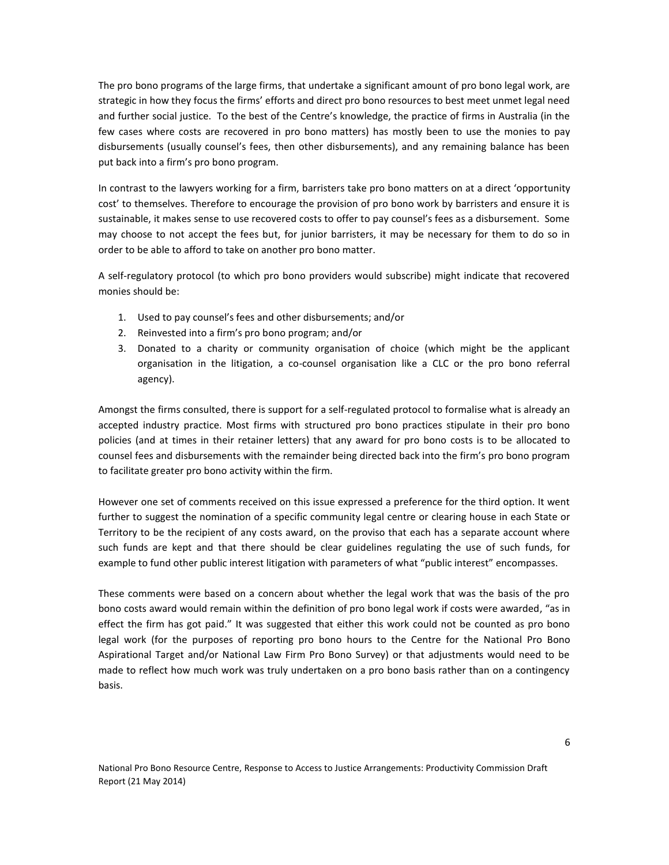The pro bono programs of the large firms, that undertake a significant amount of pro bono legal work, are strategic in how they focus the firms' efforts and direct pro bono resources to best meet unmet legal need and further social justice. To the best of the Centre's knowledge, the practice of firms in Australia (in the few cases where costs are recovered in pro bono matters) has mostly been to use the monies to pay disbursements (usually counsel's fees, then other disbursements), and any remaining balance has been put back into a firm's pro bono program.

In contrast to the lawyers working for a firm, barristers take pro bono matters on at a direct 'opportunity cost' to themselves. Therefore to encourage the provision of pro bono work by barristers and ensure it is sustainable, it makes sense to use recovered costs to offer to pay counsel's fees as a disbursement. Some may choose to not accept the fees but, for junior barristers, it may be necessary for them to do so in order to be able to afford to take on another pro bono matter.

A self-regulatory protocol (to which pro bono providers would subscribe) might indicate that recovered monies should be:

- 1. Used to pay counsel's fees and other disbursements; and/or
- 2. Reinvested into a firm's pro bono program; and/or
- 3. Donated to a charity or community organisation of choice (which might be the applicant organisation in the litigation, a co-counsel organisation like a CLC or the pro bono referral agency).

Amongst the firms consulted, there is support for a self-regulated protocol to formalise what is already an accepted industry practice. Most firms with structured pro bono practices stipulate in their pro bono policies (and at times in their retainer letters) that any award for pro bono costs is to be allocated to counsel fees and disbursements with the remainder being directed back into the firm's pro bono program to facilitate greater pro bono activity within the firm.

However one set of comments received on this issue expressed a preference for the third option. It went further to suggest the nomination of a specific community legal centre or clearing house in each State or Territory to be the recipient of any costs award, on the proviso that each has a separate account where such funds are kept and that there should be clear guidelines regulating the use of such funds, for example to fund other public interest litigation with parameters of what "public interest" encompasses.

These comments were based on a concern about whether the legal work that was the basis of the pro bono costs award would remain within the definition of pro bono legal work if costs were awarded, "as in effect the firm has got paid." It was suggested that either this work could not be counted as pro bono legal work (for the purposes of reporting pro bono hours to the Centre for the National Pro Bono Aspirational Target and/or National Law Firm Pro Bono Survey) or that adjustments would need to be made to reflect how much work was truly undertaken on a pro bono basis rather than on a contingency basis.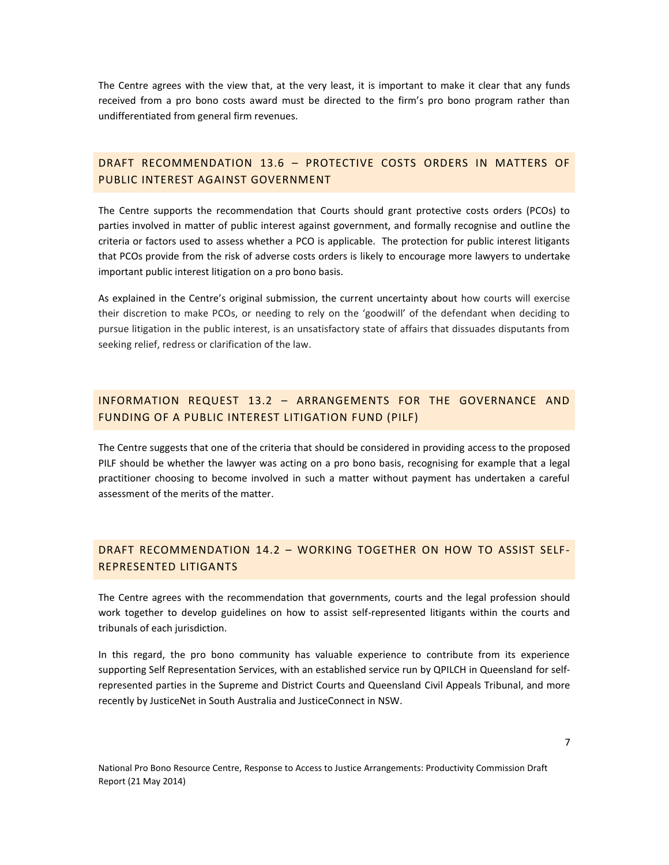The Centre agrees with the view that, at the very least, it is important to make it clear that any funds received from a pro bono costs award must be directed to the firm's pro bono program rather than undifferentiated from general firm revenues.

#### DRAFT RECOMMENDATION 13.6 – PROTECTIVE COSTS ORDERS IN MATTERS OF PUBLIC INTEREST AGAINST GOVERNMENT

The Centre supports the recommendation that Courts should grant protective costs orders (PCOs) to parties involved in matter of public interest against government, and formally recognise and outline the criteria or factors used to assess whether a PCO is applicable. The protection for public interest litigants that PCOs provide from the risk of adverse costs orders is likely to encourage more lawyers to undertake important public interest litigation on a pro bono basis.

As explained in the Centre's original submission, the current uncertainty about how courts will exercise their discretion to make PCOs, or needing to rely on the 'goodwill' of the defendant when deciding to pursue litigation in the public interest, is an unsatisfactory state of affairs that dissuades disputants from seeking relief, redress or clarification of the law.

### INFORMATION REQUEST 13.2 – ARRANGEMENTS FOR THE GOVERNANCE AND FUNDING OF A PUBLIC INTEREST LITIGATION FUND (PILF)

The Centre suggests that one of the criteria that should be considered in providing access to the proposed PILF should be whether the lawyer was acting on a pro bono basis, recognising for example that a legal practitioner choosing to become involved in such a matter without payment has undertaken a careful assessment of the merits of the matter.

# DRAFT RECOMMENDATION 14.2 – WORKING TOGETHER ON HOW TO ASSIST SELF-REPRESENTED LITIGANTS

The Centre agrees with the recommendation that governments, courts and the legal profession should work together to develop guidelines on how to assist self-represented litigants within the courts and tribunals of each jurisdiction.

In this regard, the pro bono community has valuable experience to contribute from its experience supporting Self Representation Services, with an established service run by QPILCH in Queensland for selfrepresented parties in the Supreme and District Courts and Queensland Civil Appeals Tribunal, and more recently by JusticeNet in South Australia and JusticeConnect in NSW.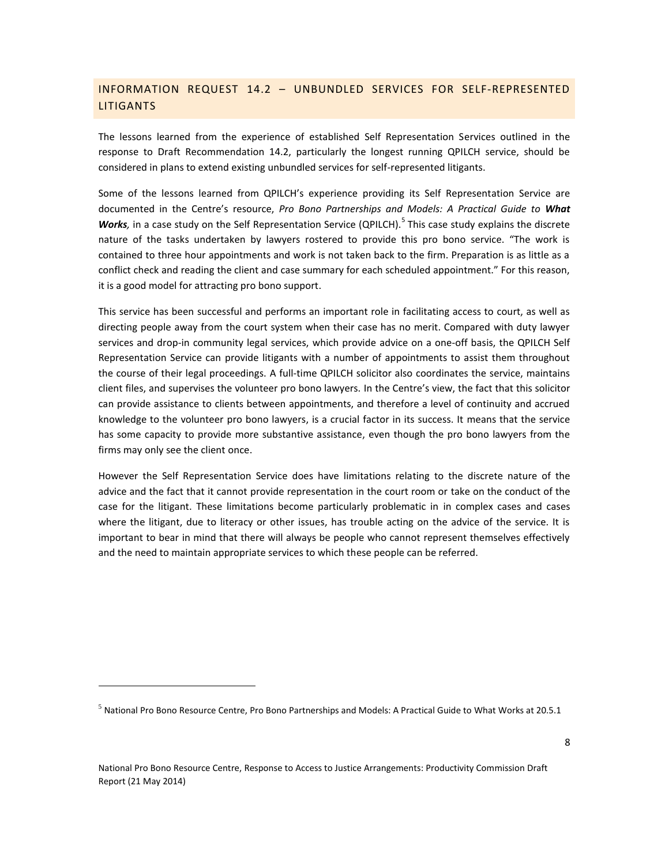### INFORMATION REQUEST 14.2 – UNBUNDLED SERVICES FOR SELF-REPRESENTED LITIGANTS

The lessons learned from the experience of established Self Representation Services outlined in the response to Draft Recommendation 14.2, particularly the longest running QPILCH service, should be considered in plans to extend existing unbundled services for self-represented litigants.

Some of the lessons learned from QPILCH's experience providing its Self Representation Service are documented in the Centre's resource, *Pro Bono Partnerships and Models: A Practical Guide to What*  Works, in a case study on the Self Representation Service (QPILCH).<sup>5</sup> This case study explains the discrete nature of the tasks undertaken by lawyers rostered to provide this pro bono service. "The work is contained to three hour appointments and work is not taken back to the firm. Preparation is as little as a conflict check and reading the client and case summary for each scheduled appointment." For this reason, it is a good model for attracting pro bono support.

This service has been successful and performs an important role in facilitating access to court, as well as directing people away from the court system when their case has no merit. Compared with duty lawyer services and drop-in community legal services, which provide advice on a one-off basis, the QPILCH Self Representation Service can provide litigants with a number of appointments to assist them throughout the course of their legal proceedings. A full-time QPILCH solicitor also coordinates the service, maintains client files, and supervises the volunteer pro bono lawyers. In the Centre's view, the fact that this solicitor can provide assistance to clients between appointments, and therefore a level of continuity and accrued knowledge to the volunteer pro bono lawyers, is a crucial factor in its success. It means that the service has some capacity to provide more substantive assistance, even though the pro bono lawyers from the firms may only see the client once.

However the Self Representation Service does have limitations relating to the discrete nature of the advice and the fact that it cannot provide representation in the court room or take on the conduct of the case for the litigant. These limitations become particularly problematic in in complex cases and cases where the litigant, due to literacy or other issues, has trouble acting on the advice of the service. It is important to bear in mind that there will always be people who cannot represent themselves effectively and the need to maintain appropriate services to which these people can be referred.

 $\overline{a}$ 

National Pro Bono Resource Centre, Response to Access to Justice Arrangements: Productivity Commission Draft Report (21 May 2014)

<sup>5</sup> National Pro Bono Resource Centre, Pro Bono Partnerships and Models: A Practical Guide to What Works at 20.5.1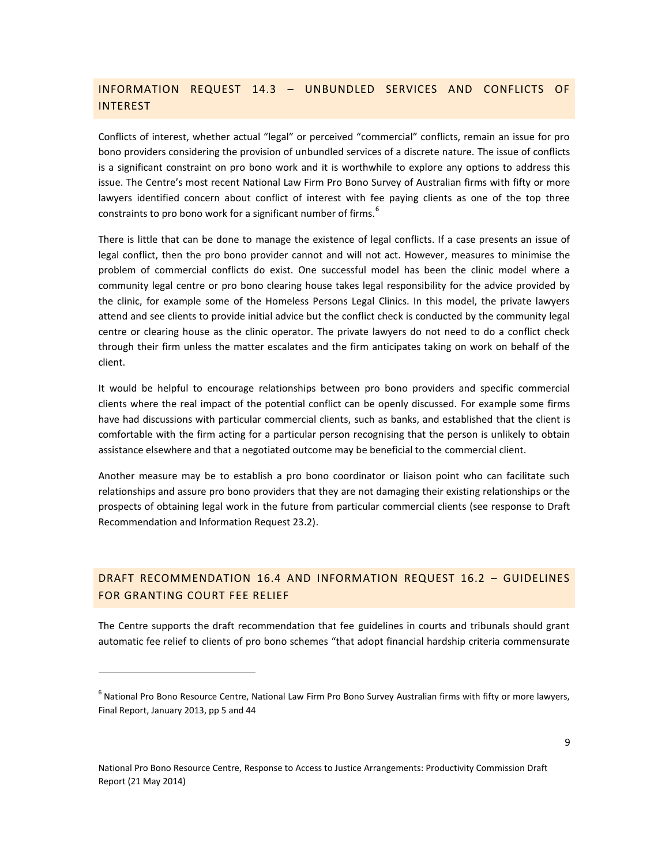## INFORMATION REQUEST 14.3 – UNBUNDLED SERVICES AND CONFLICTS OF **INTEREST**

Conflicts of interest, whether actual "legal" or perceived "commercial" conflicts, remain an issue for pro bono providers considering the provision of unbundled services of a discrete nature. The issue of conflicts is a significant constraint on pro bono work and it is worthwhile to explore any options to address this issue. The Centre's most recent National Law Firm Pro Bono Survey of Australian firms with fifty or more lawyers identified concern about conflict of interest with fee paying clients as one of the top three constraints to pro bono work for a significant number of firms.<sup>6</sup>

There is little that can be done to manage the existence of legal conflicts. If a case presents an issue of legal conflict, then the pro bono provider cannot and will not act. However, measures to minimise the problem of commercial conflicts do exist. One successful model has been the clinic model where a community legal centre or pro bono clearing house takes legal responsibility for the advice provided by the clinic, for example some of the Homeless Persons Legal Clinics. In this model, the private lawyers attend and see clients to provide initial advice but the conflict check is conducted by the community legal centre or clearing house as the clinic operator. The private lawyers do not need to do a conflict check through their firm unless the matter escalates and the firm anticipates taking on work on behalf of the client.

It would be helpful to encourage relationships between pro bono providers and specific commercial clients where the real impact of the potential conflict can be openly discussed. For example some firms have had discussions with particular commercial clients, such as banks, and established that the client is comfortable with the firm acting for a particular person recognising that the person is unlikely to obtain assistance elsewhere and that a negotiated outcome may be beneficial to the commercial client.

Another measure may be to establish a pro bono coordinator or liaison point who can facilitate such relationships and assure pro bono providers that they are not damaging their existing relationships or the prospects of obtaining legal work in the future from particular commercial clients (see response to Draft Recommendation and Information Request 23.2).

### DRAFT RECOMMENDATION 16.4 AND INFORMATION REQUEST 16.2 – GUIDELINES FOR GRANTING COURT FEE RELIEF

The Centre supports the draft recommendation that fee guidelines in courts and tribunals should grant automatic fee relief to clients of pro bono schemes "that adopt financial hardship criteria commensurate

<sup>&</sup>lt;sup>6</sup> National Pro Bono Resource Centre, National Law Firm Pro Bono Survey Australian firms with fifty or more lawyers, Final Report, January 2013, pp 5 and 44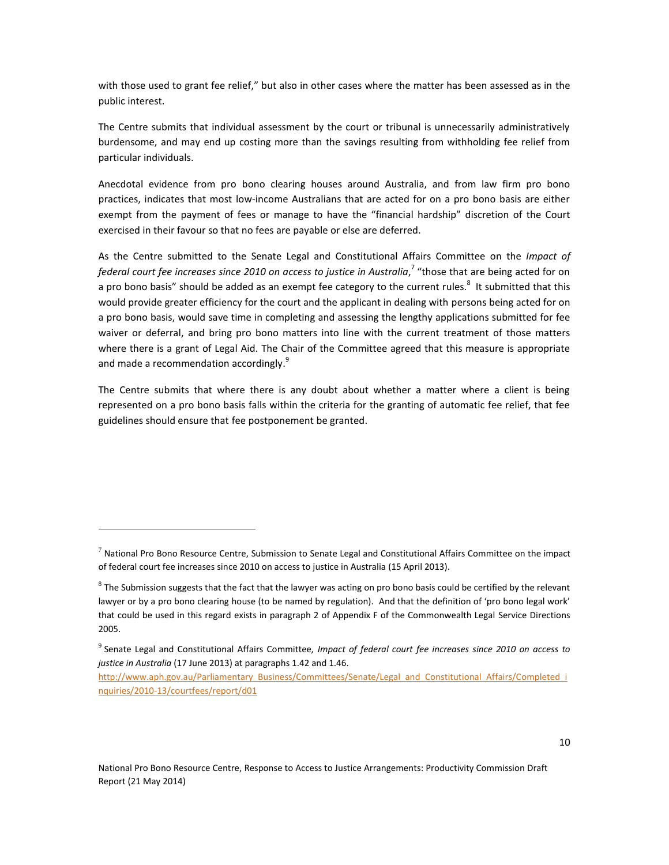with those used to grant fee relief," but also in other cases where the matter has been assessed as in the public interest.

The Centre submits that individual assessment by the court or tribunal is unnecessarily administratively burdensome, and may end up costing more than the savings resulting from withholding fee relief from particular individuals.

Anecdotal evidence from pro bono clearing houses around Australia, and from law firm pro bono practices, indicates that most low-income Australians that are acted for on a pro bono basis are either exempt from the payment of fees or manage to have the "financial hardship" discretion of the Court exercised in their favour so that no fees are payable or else are deferred.

As the Centre submitted to the Senate Legal and Constitutional Affairs Committee on the *Impact of*  federal court fee increases since 2010 on access to justice in Australia,<sup>7</sup> "those that are being acted for on a pro bono basis" should be added as an exempt fee category to the current rules.<sup>8</sup> It submitted that this would provide greater efficiency for the court and the applicant in dealing with persons being acted for on a pro bono basis, would save time in completing and assessing the lengthy applications submitted for fee waiver or deferral, and bring pro bono matters into line with the current treatment of those matters where there is a grant of Legal Aid. The Chair of the Committee agreed that this measure is appropriate and made a recommendation accordingly.<sup>9</sup>

The Centre submits that where there is any doubt about whether a matter where a client is being represented on a pro bono basis falls within the criteria for the granting of automatic fee relief, that fee guidelines should ensure that fee postponement be granted.

 $^7$  National Pro Bono Resource Centre, Submission to Senate Legal and Constitutional Affairs Committee on the impact of federal court fee increases since 2010 on access to justice in Australia (15 April 2013).

 $^8$  The Submission suggests that the fact that the lawyer was acting on pro bono basis could be certified by the relevant lawyer or by a pro bono clearing house (to be named by regulation). And that the definition of 'pro bono legal work' that could be used in this regard exists in paragraph 2 of Appendix F of the Commonwealth Legal Service Directions 2005.

<sup>9</sup> Senate Legal and Constitutional Affairs Committee*, Impact of federal court fee increases since 2010 on access to justice in Australia* (17 June 2013) at paragraphs 1.42 and 1.46.

[http://www.aph.gov.au/Parliamentary\\_Business/Committees/Senate/Legal\\_and\\_Constitutional\\_Affairs/Completed\\_i](http://www.aph.gov.au/Parliamentary_Business/Committees/Senate/Legal_and_Constitutional_Affairs/Completed_inquiries/2010-13/courtfees/report/d01) [nquiries/2010-13/courtfees/report/d01](http://www.aph.gov.au/Parliamentary_Business/Committees/Senate/Legal_and_Constitutional_Affairs/Completed_inquiries/2010-13/courtfees/report/d01)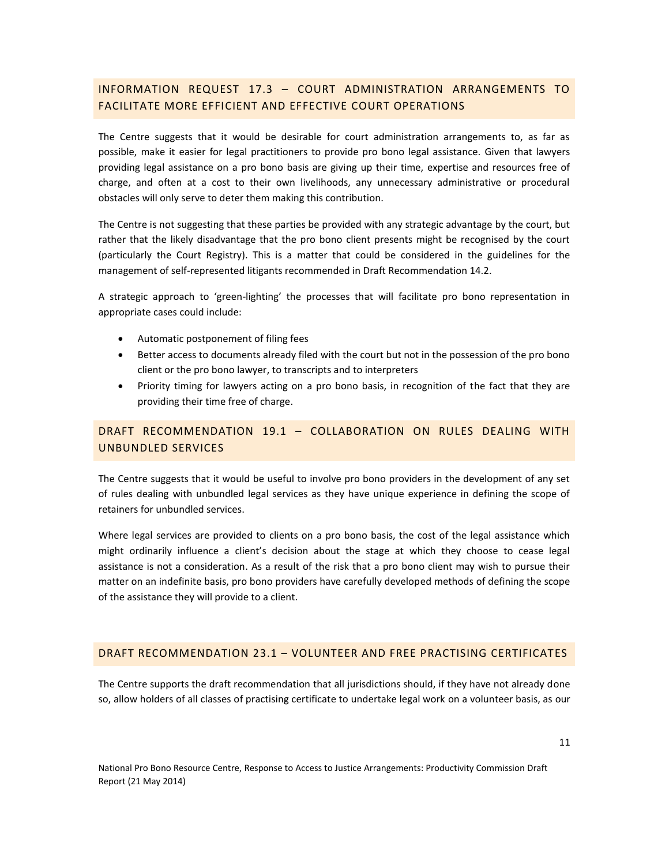## INFORMATION REQUEST 17.3 – COURT ADMINISTRATION ARRANGEMENTS TO FACILITATE MORE EFFICIENT AND EFFECTIVE COURT OPERATIONS

The Centre suggests that it would be desirable for court administration arrangements to, as far as possible, make it easier for legal practitioners to provide pro bono legal assistance. Given that lawyers providing legal assistance on a pro bono basis are giving up their time, expertise and resources free of charge, and often at a cost to their own livelihoods, any unnecessary administrative or procedural obstacles will only serve to deter them making this contribution.

The Centre is not suggesting that these parties be provided with any strategic advantage by the court, but rather that the likely disadvantage that the pro bono client presents might be recognised by the court (particularly the Court Registry). This is a matter that could be considered in the guidelines for the management of self-represented litigants recommended in Draft Recommendation 14.2.

A strategic approach to 'green-lighting' the processes that will facilitate pro bono representation in appropriate cases could include:

- Automatic postponement of filing fees
- Better access to documents already filed with the court but not in the possession of the pro bono client or the pro bono lawyer, to transcripts and to interpreters
- Priority timing for lawyers acting on a pro bono basis, in recognition of the fact that they are providing their time free of charge.

### DRAFT RECOMMENDATION 19.1 – COLLABORATION ON RULES DEALING WITH UNBUNDLED SERVICES

The Centre suggests that it would be useful to involve pro bono providers in the development of any set of rules dealing with unbundled legal services as they have unique experience in defining the scope of retainers for unbundled services.

Where legal services are provided to clients on a pro bono basis, the cost of the legal assistance which might ordinarily influence a client's decision about the stage at which they choose to cease legal assistance is not a consideration. As a result of the risk that a pro bono client may wish to pursue their matter on an indefinite basis, pro bono providers have carefully developed methods of defining the scope of the assistance they will provide to a client.

#### DRAFT RECOMMENDATION 23.1 – VOLUNTEER AND FREE PRACTISING CERTIFICATES

The Centre supports the draft recommendation that all jurisdictions should, if they have not already done so, allow holders of all classes of practising certificate to undertake legal work on a volunteer basis, as our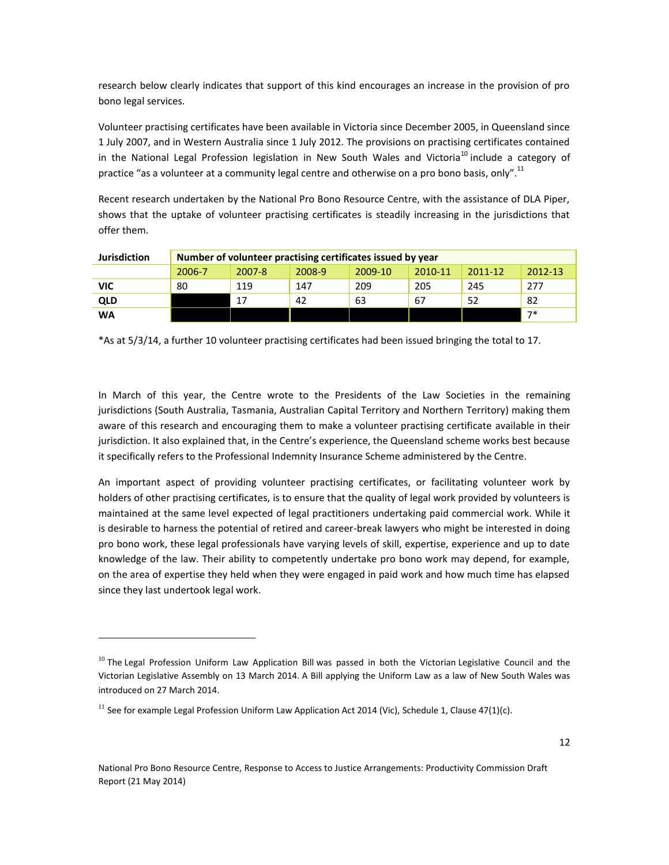research below clearly indicates that support of this kind encourages an increase in the provision of pro bono legal services.

Volunteer practising certificates have been available in Victoria since December 2005, in Queensland since 1 July 2007, and in Western Australia since 1 July 2012. The provisions on practising certificates contained in the National Legal Profession legislation in New South Wales and Victoria<sup>10</sup> include a category of practice "as a volunteer at a community legal centre and otherwise on a pro bono basis, only".<sup>11</sup>

Recent research undertaken by the National Pro Bono Resource Centre, with the assistance of DLA Piper, shows that the uptake of volunteer practising certificates is steadily increasing in the jurisdictions that offer them.

| <b>Jurisdiction</b> | Number of volunteer practising certificates issued by year |        |        |         |         |             |         |
|---------------------|------------------------------------------------------------|--------|--------|---------|---------|-------------|---------|
|                     | 2006-7                                                     | 2007-8 | 2008-9 | 2009-10 | 2010-11 | $2011 - 12$ | 2012-13 |
| VIC                 | 80                                                         | 119    | 147    | 209     | 205     | 245         | 277     |
| <b>QLD</b>          |                                                            | 17     | 42     | 63      | 67      | 52          | 82      |
| WA                  |                                                            |        |        |         |         |             | $7*$    |

\*As at 5/3/14, a further 10 volunteer practising certificates had been issued bringing the total to 17.

In March of this year, the Centre wrote to the Presidents of the Law Societies in the remaining jurisdictions (South Australia, Tasmania, Australian Capital Territory and Northern Territory) making them aware of this research and encouraging them to make a volunteer practising certificate available in their jurisdiction. It also explained that, in the Centre's experience, the Queensland scheme works best because it specifically refers to the Professional Indemnity Insurance Scheme administered by the Centre.

An important aspect of providing volunteer practising certificates, or facilitating volunteer work by holders of other practising certificates, is to ensure that the quality of legal work provided by volunteers is maintained at the same level expected of legal practitioners undertaking paid commercial work. While it is desirable to harness the potential of retired and career-break lawyers who might be interested in doing pro bono work, these legal professionals have varying levels of skill, expertise, experience and up to date knowledge of the law. Their ability to competently undertake pro bono work may depend, for example, on the area of expertise they held when they were engaged in paid work and how much time has elapsed since they last undertook legal work.

 $10$  The [Legal Profession Uniform Law Application Bill](http://www.legislation.vic.gov.au/domino/Web_Notes/LDMS/PubPDocs.nsf/ee665e366dcb6cb0ca256da400837f6b/6a5084b49c8af58fca257c3d001ec573!OpenDocument) was passed in both the Victorian Legislative Council and the Victorian Legislative Assembly on 13 March 2014. A Bill applying the Uniform Law as a law of New South Wales was introduced on 27 March 2014.

<sup>&</sup>lt;sup>11</sup> See for example Legal Profession Uniform Law Application Act 2014 (Vic), Schedule 1, Clause 47(1)(c).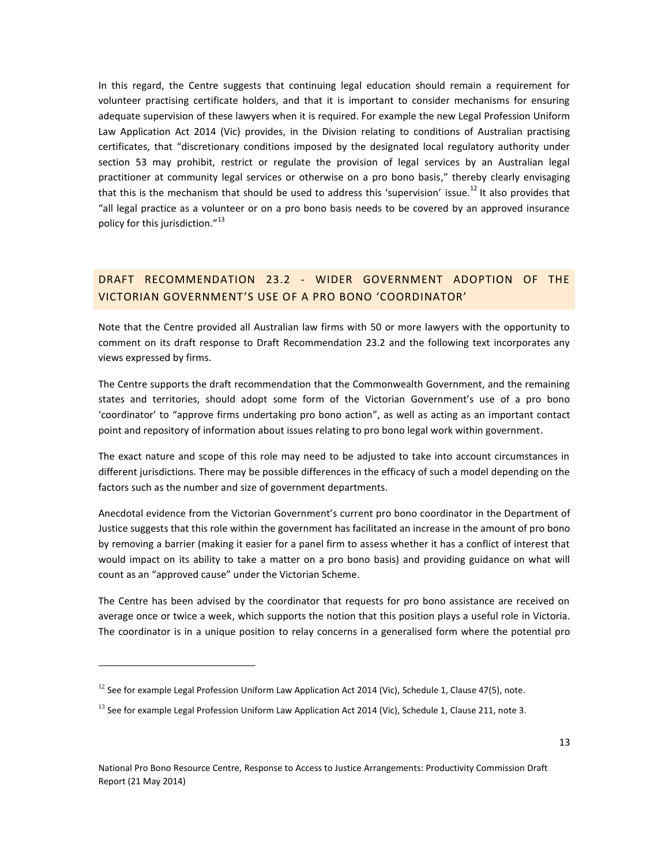In this regard, the Centre suggests that continuing legal education should remain a requirement for volunteer practising certificate holders, and that it is important to consider mechanisms for ensuring adequate supervision of these lawyers when it is required. For example the new Legal Profession Uniform Law Application Act 2014 (Vic) provides, in the Division relating to conditions of Australian practising certificates, that "discretionary conditions imposed by the designated local regulatory authority under section 53 may prohibit, restrict or regulate the provision of legal services by an Australian legal practitioner at community legal services or otherwise on a pro bono basis," thereby clearly envisaging that this is the mechanism that should be used to address this 'supervision' issue.<sup>12</sup> It also provides that "all legal practice as a volunteer or on a pro bono basis needs to be covered by an approved insurance policy for this jurisdiction."<sup>13</sup>

#### DRAFT RECOMMENDATION 23.2 - WIDER GOVERNMENT ADOPTION OF THE VICTORIAN GOVERNMENT'S USE OF A PRO BONO 'COORDINATOR'

Note that the Centre provided all Australian law firms with 50 or more lawyers with the opportunity to comment on its draft response to Draft Recommendation 23.2 and the following text incorporates any views expressed by firms.

The Centre supports the draft recommendation that the Commonwealth Government, and the remaining states and territories, should adopt some form of the Victorian Government's use of a pro bono 'coordinator' to "approve firms undertaking pro bono action", as well as acting as an important contact point and repository of information about issues relating to pro bono legal work within government.

The exact nature and scope of this role may need to be adjusted to take into account circumstances in different jurisdictions. There may be possible differences in the efficacy of such a model depending on the factors such as the number and size of government departments.

Anecdotal evidence from the Victorian Government's current pro bono coordinator in the Department of Justice suggests that this role within the government has facilitated an increase in the amount of pro bono by removing a barrier (making it easier for a panel firm to assess whether it has a conflict of interest that would impact on its ability to take a matter on a pro bono basis) and providing guidance on what will count as an "approved cause" under the Victorian Scheme.

The Centre has been advised by the coordinator that requests for pro bono assistance are received on average once or twice a week, which supports the notion that this position plays a useful role in Victoria. The coordinator is in a unique position to relay concerns in a generalised form where the potential pro

 $12$  See for example Legal Profession Uniform Law Application Act 2014 (Vic), Schedule 1, Clause 47(5), note.

 $^{13}$  See for example Legal Profession Uniform Law Application Act 2014 (Vic), Schedule 1, Clause 211, note 3.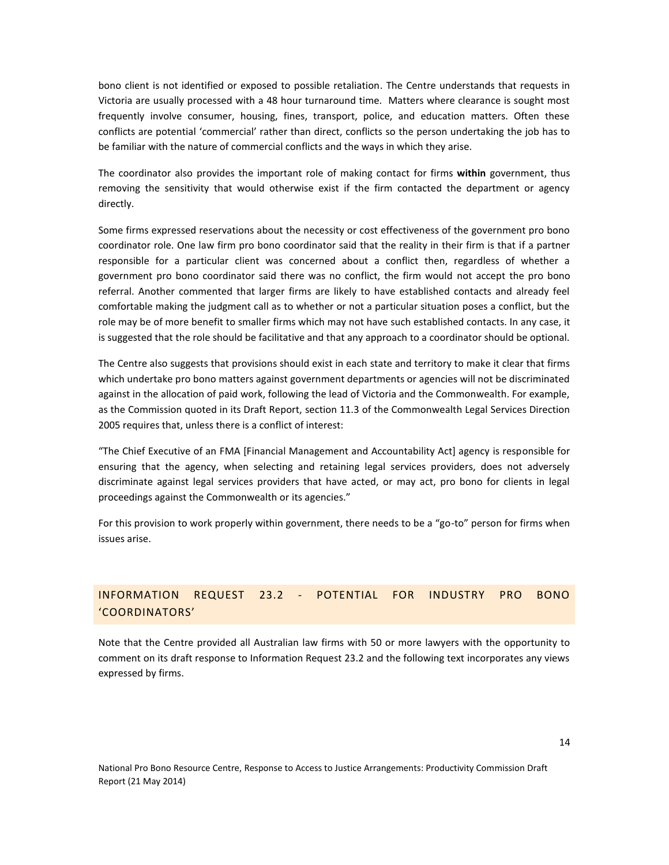bono client is not identified or exposed to possible retaliation. The Centre understands that requests in Victoria are usually processed with a 48 hour turnaround time. Matters where clearance is sought most frequently involve consumer, housing, fines, transport, police, and education matters. Often these conflicts are potential 'commercial' rather than direct, conflicts so the person undertaking the job has to be familiar with the nature of commercial conflicts and the ways in which they arise.

The coordinator also provides the important role of making contact for firms **within** government, thus removing the sensitivity that would otherwise exist if the firm contacted the department or agency directly.

Some firms expressed reservations about the necessity or cost effectiveness of the government pro bono coordinator role. One law firm pro bono coordinator said that the reality in their firm is that if a partner responsible for a particular client was concerned about a conflict then, regardless of whether a government pro bono coordinator said there was no conflict, the firm would not accept the pro bono referral. Another commented that larger firms are likely to have established contacts and already feel comfortable making the judgment call as to whether or not a particular situation poses a conflict, but the role may be of more benefit to smaller firms which may not have such established contacts. In any case, it is suggested that the role should be facilitative and that any approach to a coordinator should be optional.

The Centre also suggests that provisions should exist in each state and territory to make it clear that firms which undertake pro bono matters against government departments or agencies will not be discriminated against in the allocation of paid work, following the lead of Victoria and the Commonwealth. For example, as the Commission quoted in its Draft Report, section 11.3 of the Commonwealth Legal Services Direction 2005 requires that, unless there is a conflict of interest:

"The Chief Executive of an FMA [Financial Management and Accountability Act] agency is responsible for ensuring that the agency, when selecting and retaining legal services providers, does not adversely discriminate against legal services providers that have acted, or may act, pro bono for clients in legal proceedings against the Commonwealth or its agencies."

For this provision to work properly within government, there needs to be a "go-to" person for firms when issues arise.

# INFORMATION REQUEST 23.2 - POTENTIAL FOR INDUSTRY PRO BONO 'COORDINATORS'

Note that the Centre provided all Australian law firms with 50 or more lawyers with the opportunity to comment on its draft response to Information Request 23.2 and the following text incorporates any views expressed by firms.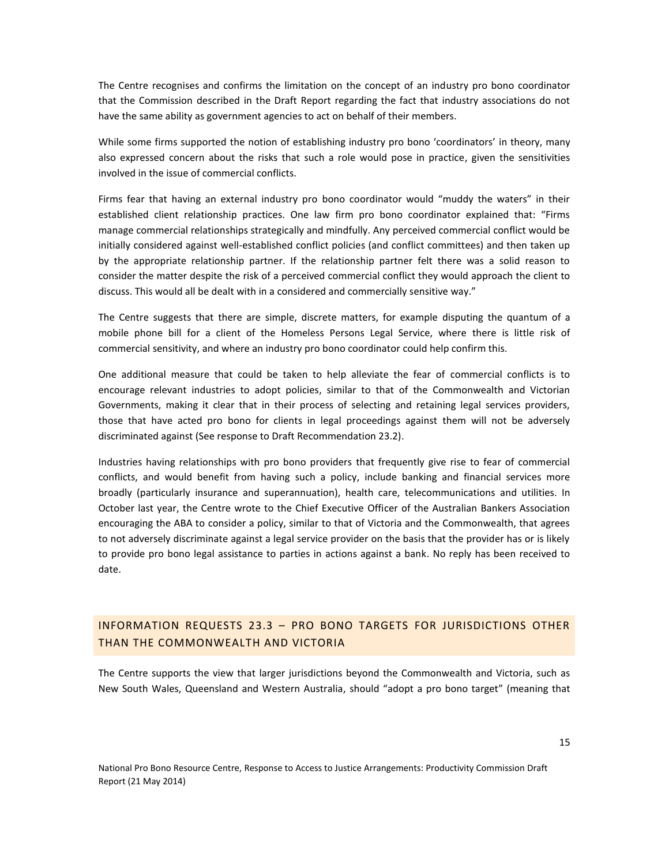The Centre recognises and confirms the limitation on the concept of an industry pro bono coordinator that the Commission described in the Draft Report regarding the fact that industry associations do not have the same ability as government agencies to act on behalf of their members.

While some firms supported the notion of establishing industry pro bono 'coordinators' in theory, many also expressed concern about the risks that such a role would pose in practice, given the sensitivities involved in the issue of commercial conflicts.

Firms fear that having an external industry pro bono coordinator would "muddy the waters" in their established client relationship practices. One law firm pro bono coordinator explained that: "Firms manage commercial relationships strategically and mindfully. Any perceived commercial conflict would be initially considered against well-established conflict policies (and conflict committees) and then taken up by the appropriate relationship partner. If the relationship partner felt there was a solid reason to consider the matter despite the risk of a perceived commercial conflict they would approach the client to discuss. This would all be dealt with in a considered and commercially sensitive way."

The Centre suggests that there are simple, discrete matters, for example disputing the quantum of a mobile phone bill for a client of the Homeless Persons Legal Service, where there is little risk of commercial sensitivity, and where an industry pro bono coordinator could help confirm this.

One additional measure that could be taken to help alleviate the fear of commercial conflicts is to encourage relevant industries to adopt policies, similar to that of the Commonwealth and Victorian Governments, making it clear that in their process of selecting and retaining legal services providers, those that have acted pro bono for clients in legal proceedings against them will not be adversely discriminated against (See response to Draft Recommendation 23.2).

Industries having relationships with pro bono providers that frequently give rise to fear of commercial conflicts, and would benefit from having such a policy, include banking and financial services more broadly (particularly insurance and superannuation), health care, telecommunications and utilities. In October last year, the Centre wrote to the Chief Executive Officer of the Australian Bankers Association encouraging the ABA to consider a policy, similar to that of Victoria and the Commonwealth, that agrees to not adversely discriminate against a legal service provider on the basis that the provider has or is likely to provide pro bono legal assistance to parties in actions against a bank. No reply has been received to date.

#### INFORMATION REQUESTS 23.3 – PRO BONO TARGETS FOR JURISDICTIONS OTHER THAN THE COMMONWEALTH AND VICTORIA

The Centre supports the view that larger jurisdictions beyond the Commonwealth and Victoria, such as New South Wales, Queensland and Western Australia, should "adopt a pro bono target" (meaning that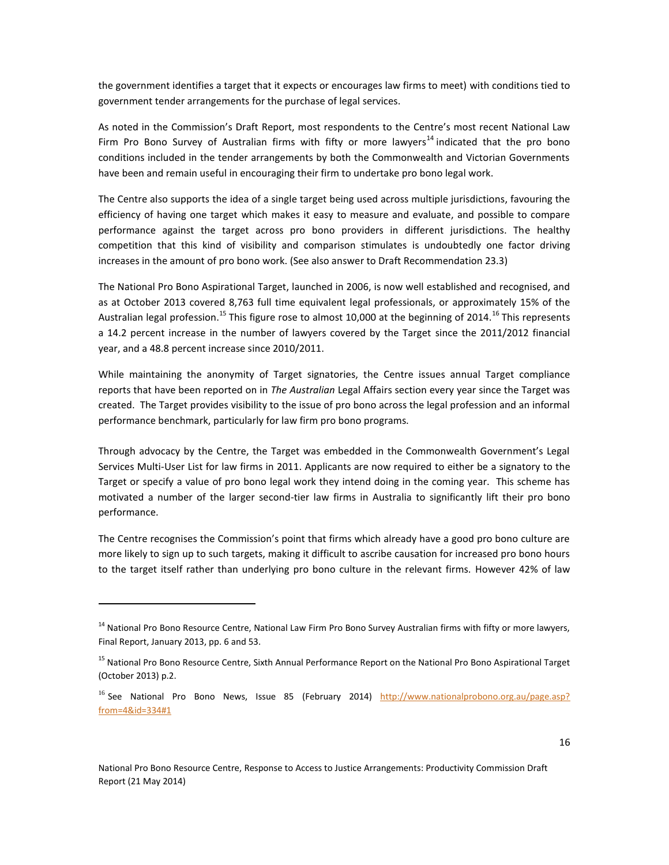the government identifies a target that it expects or encourages law firms to meet) with conditions tied to government tender arrangements for the purchase of legal services.

As noted in the Commission's Draft Report, most respondents to the Centre's most recent National Law Firm Pro Bono Survey of Australian firms with fifty or more lawyers<sup>14</sup> indicated that the pro bono conditions included in the tender arrangements by both the Commonwealth and Victorian Governments have been and remain useful in encouraging their firm to undertake pro bono legal work.

The Centre also supports the idea of a single target being used across multiple jurisdictions, favouring the efficiency of having one target which makes it easy to measure and evaluate, and possible to compare performance against the target across pro bono providers in different jurisdictions. The healthy competition that this kind of visibility and comparison stimulates is undoubtedly one factor driving increases in the amount of pro bono work. (See also answer to Draft Recommendation 23.3)

The National Pro Bono Aspirational Target, launched in 2006, is now well established and recognised, and as at October 2013 covered 8,763 full time equivalent legal professionals, or approximately 15% of the Australian legal profession.<sup>15</sup> This figure rose to almost 10,000 at the beginning of 2014.<sup>16</sup> This represents a 14.2 percent increase in the number of lawyers covered by the Target since the 2011/2012 financial year, and a 48.8 percent increase since 2010/2011.

While maintaining the anonymity of Target signatories, the Centre issues annual Target compliance reports that have been reported on in *The Australian* Legal Affairs section every year since the Target was created. The Target provides visibility to the issue of pro bono across the legal profession and an informal performance benchmark, particularly for law firm pro bono programs.

Through advocacy by the Centre, the Target was embedded in the Commonwealth Government's Legal Services Multi-User List for law firms in 2011. Applicants are now required to either be a signatory to the Target or specify a value of pro bono legal work they intend doing in the coming year. This scheme has motivated a number of the larger second-tier law firms in Australia to significantly lift their pro bono performance.

The Centre recognises the Commission's point that firms which already have a good pro bono culture are more likely to sign up to such targets, making it difficult to ascribe causation for increased pro bono hours to the target itself rather than underlying pro bono culture in the relevant firms. However 42% of law

<sup>&</sup>lt;sup>14</sup> National Pro Bono Resource Centre, National Law Firm Pro Bono Survey Australian firms with fifty or more lawyers, Final Report, January 2013, pp. 6 and 53.

<sup>&</sup>lt;sup>15</sup> National Pro Bono Resource Centre, Sixth Annual Performance Report on the National Pro Bono Aspirational Target (October 2013) p.2.

<sup>&</sup>lt;sup>16</sup> See National Pro Bono News, Issue 85 (February 2014) [http://www.nationalprobono.org.au/page.asp?](http://www.nationalprobono.org.au/page.asp?‌from=4&id=334#1) [from=4&id=334#1](http://www.nationalprobono.org.au/page.asp?‌from=4&id=334#1)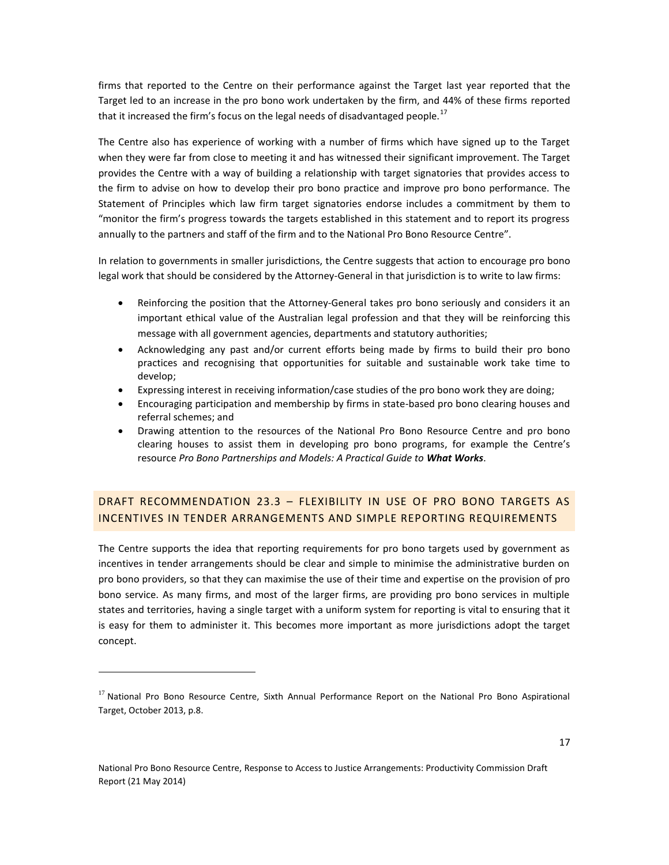firms that reported to the Centre on their performance against the Target last year reported that the Target led to an increase in the pro bono work undertaken by the firm, and 44% of these firms reported that it increased the firm's focus on the legal needs of disadvantaged people.<sup>17</sup>

The Centre also has experience of working with a number of firms which have signed up to the Target when they were far from close to meeting it and has witnessed their significant improvement. The Target provides the Centre with a way of building a relationship with target signatories that provides access to the firm to advise on how to develop their pro bono practice and improve pro bono performance. The Statement of Principles which law firm target signatories endorse includes a commitment by them to "monitor the firm's progress towards the targets established in this statement and to report its progress annually to the partners and staff of the firm and to the National Pro Bono Resource Centre".

In relation to governments in smaller jurisdictions, the Centre suggests that action to encourage pro bono legal work that should be considered by the Attorney-General in that jurisdiction is to write to law firms:

- Reinforcing the position that the Attorney-General takes pro bono seriously and considers it an important ethical value of the Australian legal profession and that they will be reinforcing this message with all government agencies, departments and statutory authorities;
- Acknowledging any past and/or current efforts being made by firms to build their pro bono practices and recognising that opportunities for suitable and sustainable work take time to develop;
- Expressing interest in receiving information/case studies of the pro bono work they are doing;
- Encouraging participation and membership by firms in state-based pro bono clearing houses and referral schemes; and
- Drawing attention to the resources of the National Pro Bono Resource Centre and pro bono clearing houses to assist them in developing pro bono programs, for example the Centre's resource *Pro Bono Partnerships and Models: A Practical Guide to What Works*.

### DRAFT RECOMMENDATION 23.3 – FLEXIBILITY IN USE OF PRO BONO TARGETS AS INCENTIVES IN TENDER ARRANGEMENTS AND SIMPLE REPORTING REQUIREMENTS

The Centre supports the idea that reporting requirements for pro bono targets used by government as incentives in tender arrangements should be clear and simple to minimise the administrative burden on pro bono providers, so that they can maximise the use of their time and expertise on the provision of pro bono service. As many firms, and most of the larger firms, are providing pro bono services in multiple states and territories, having a single target with a uniform system for reporting is vital to ensuring that it is easy for them to administer it. This becomes more important as more jurisdictions adopt the target concept.

<sup>&</sup>lt;sup>17</sup> National Pro Bono Resource Centre, Sixth Annual Performance Report on the National Pro Bono Aspirational Target, October 2013, p.8.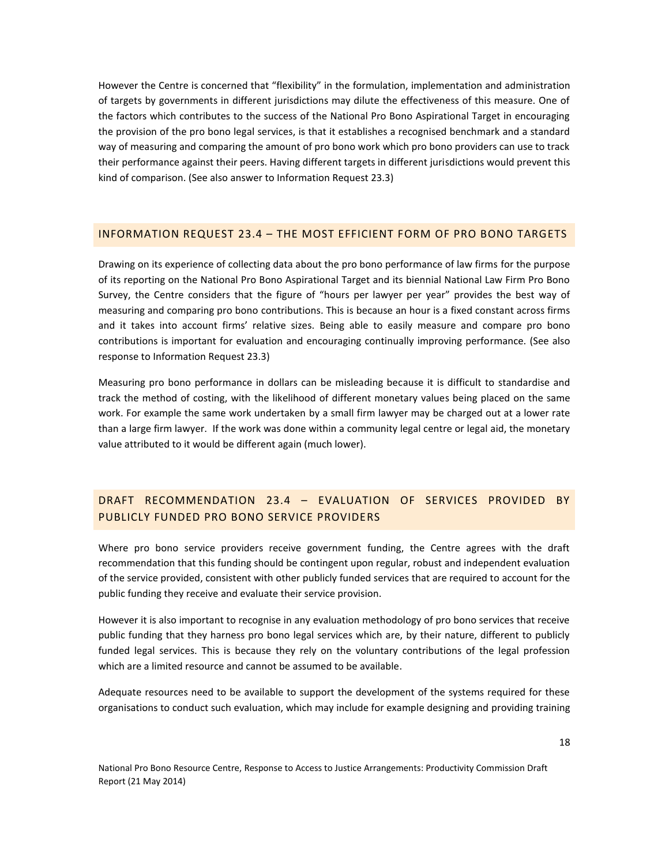However the Centre is concerned that "flexibility" in the formulation, implementation and administration of targets by governments in different jurisdictions may dilute the effectiveness of this measure. One of the factors which contributes to the success of the National Pro Bono Aspirational Target in encouraging the provision of the pro bono legal services, is that it establishes a recognised benchmark and a standard way of measuring and comparing the amount of pro bono work which pro bono providers can use to track their performance against their peers. Having different targets in different jurisdictions would prevent this kind of comparison. (See also answer to Information Request 23.3)

#### INFORMATION REQUEST 23.4 – THE MOST EFFICIENT FORM OF PRO BONO TARGETS

Drawing on its experience of collecting data about the pro bono performance of law firms for the purpose of its reporting on the National Pro Bono Aspirational Target and its biennial National Law Firm Pro Bono Survey, the Centre considers that the figure of "hours per lawyer per year" provides the best way of measuring and comparing pro bono contributions. This is because an hour is a fixed constant across firms and it takes into account firms' relative sizes. Being able to easily measure and compare pro bono contributions is important for evaluation and encouraging continually improving performance. (See also response to Information Request 23.3)

Measuring pro bono performance in dollars can be misleading because it is difficult to standardise and track the method of costing, with the likelihood of different monetary values being placed on the same work. For example the same work undertaken by a small firm lawyer may be charged out at a lower rate than a large firm lawyer. If the work was done within a community legal centre or legal aid, the monetary value attributed to it would be different again (much lower).

### DRAFT RECOMMENDATION 23.4 – EVALUATION OF SERVICES PROVIDED BY PUBLICLY FUNDED PRO BONO SERVICE PROVIDERS

Where pro bono service providers receive government funding, the Centre agrees with the draft recommendation that this funding should be contingent upon regular, robust and independent evaluation of the service provided, consistent with other publicly funded services that are required to account for the public funding they receive and evaluate their service provision.

However it is also important to recognise in any evaluation methodology of pro bono services that receive public funding that they harness pro bono legal services which are, by their nature, different to publicly funded legal services. This is because they rely on the voluntary contributions of the legal profession which are a limited resource and cannot be assumed to be available.

Adequate resources need to be available to support the development of the systems required for these organisations to conduct such evaluation, which may include for example designing and providing training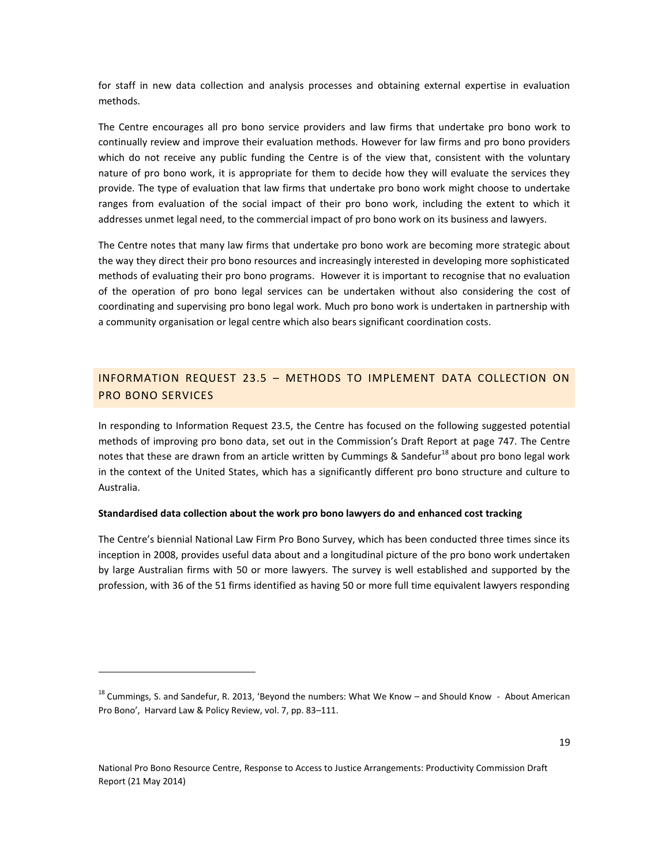for staff in new data collection and analysis processes and obtaining external expertise in evaluation methods.

The Centre encourages all pro bono service providers and law firms that undertake pro bono work to continually review and improve their evaluation methods. However for law firms and pro bono providers which do not receive any public funding the Centre is of the view that, consistent with the voluntary nature of pro bono work, it is appropriate for them to decide how they will evaluate the services they provide. The type of evaluation that law firms that undertake pro bono work might choose to undertake ranges from evaluation of the social impact of their pro bono work, including the extent to which it addresses unmet legal need, to the commercial impact of pro bono work on its business and lawyers.

The Centre notes that many law firms that undertake pro bono work are becoming more strategic about the way they direct their pro bono resources and increasingly interested in developing more sophisticated methods of evaluating their pro bono programs. However it is important to recognise that no evaluation of the operation of pro bono legal services can be undertaken without also considering the cost of coordinating and supervising pro bono legal work. Much pro bono work is undertaken in partnership with a community organisation or legal centre which also bears significant coordination costs.

#### INFORMATION REQUEST 23.5 – METHODS TO IMPLEMENT DATA COLLECTION ON PRO BONO SERVICES

In responding to Information Request 23.5, the Centre has focused on the following suggested potential methods of improving pro bono data, set out in the Commission's Draft Report at page 747. The Centre notes that these are drawn from an article written by Cummings & Sandefur<sup>18</sup> about pro bono legal work in the context of the United States, which has a significantly different pro bono structure and culture to Australia.

#### **Standardised data collection about the work pro bono lawyers do and enhanced cost tracking**

The Centre's biennial National Law Firm Pro Bono Survey, which has been conducted three times since its inception in 2008, provides useful data about and a longitudinal picture of the pro bono work undertaken by large Australian firms with 50 or more lawyers. The survey is well established and supported by the profession, with 36 of the 51 firms identified as having 50 or more full time equivalent lawyers responding

<sup>&</sup>lt;sup>18</sup> Cummings, S. and Sandefur, R. 2013, 'Beyond the numbers: What We Know – and Should Know - About American Pro Bono', Harvard Law & Policy Review, vol. 7, pp. 83–111.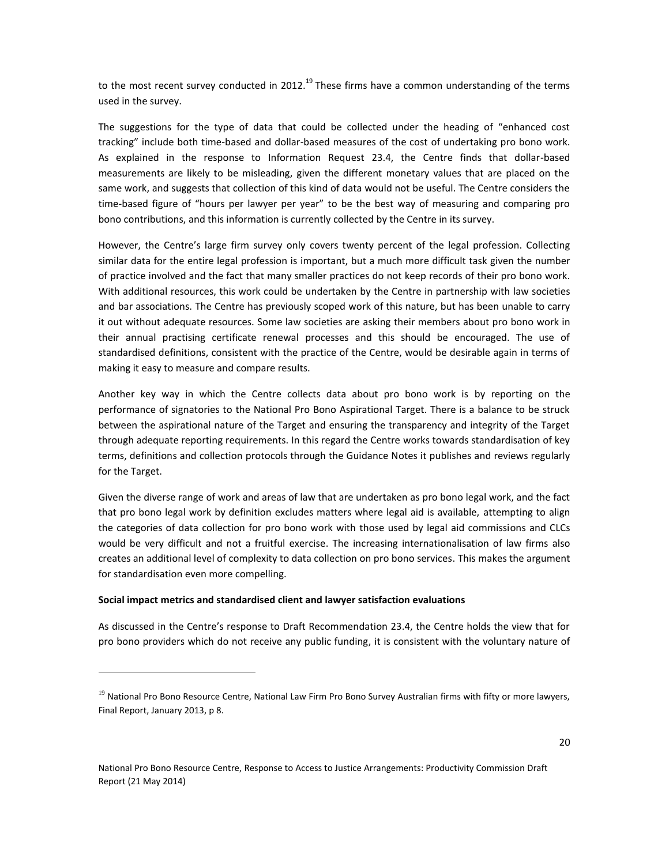to the most recent survey conducted in 2012.<sup>19</sup> These firms have a common understanding of the terms used in the survey.

The suggestions for the type of data that could be collected under the heading of "enhanced cost tracking" include both time-based and dollar-based measures of the cost of undertaking pro bono work. As explained in the response to Information Request 23.4, the Centre finds that dollar-based measurements are likely to be misleading, given the different monetary values that are placed on the same work, and suggests that collection of this kind of data would not be useful. The Centre considers the time-based figure of "hours per lawyer per year" to be the best way of measuring and comparing pro bono contributions, and this information is currently collected by the Centre in its survey.

However, the Centre's large firm survey only covers twenty percent of the legal profession. Collecting similar data for the entire legal profession is important, but a much more difficult task given the number of practice involved and the fact that many smaller practices do not keep records of their pro bono work. With additional resources, this work could be undertaken by the Centre in partnership with law societies and bar associations. The Centre has previously scoped work of this nature, but has been unable to carry it out without adequate resources. Some law societies are asking their members about pro bono work in their annual practising certificate renewal processes and this should be encouraged. The use of standardised definitions, consistent with the practice of the Centre, would be desirable again in terms of making it easy to measure and compare results.

Another key way in which the Centre collects data about pro bono work is by reporting on the performance of signatories to the National Pro Bono Aspirational Target. There is a balance to be struck between the aspirational nature of the Target and ensuring the transparency and integrity of the Target through adequate reporting requirements. In this regard the Centre works towards standardisation of key terms, definitions and collection protocols through the Guidance Notes it publishes and reviews regularly for the Target.

Given the diverse range of work and areas of law that are undertaken as pro bono legal work, and the fact that pro bono legal work by definition excludes matters where legal aid is available, attempting to align the categories of data collection for pro bono work with those used by legal aid commissions and CLCs would be very difficult and not a fruitful exercise. The increasing internationalisation of law firms also creates an additional level of complexity to data collection on pro bono services. This makes the argument for standardisation even more compelling.

#### **Social impact metrics and standardised client and lawyer satisfaction evaluations**

 $\overline{a}$ 

As discussed in the Centre's response to Draft Recommendation 23.4, the Centre holds the view that for pro bono providers which do not receive any public funding, it is consistent with the voluntary nature of

 $19$  National Pro Bono Resource Centre, National Law Firm Pro Bono Survey Australian firms with fifty or more lawyers, Final Report, January 2013, p 8.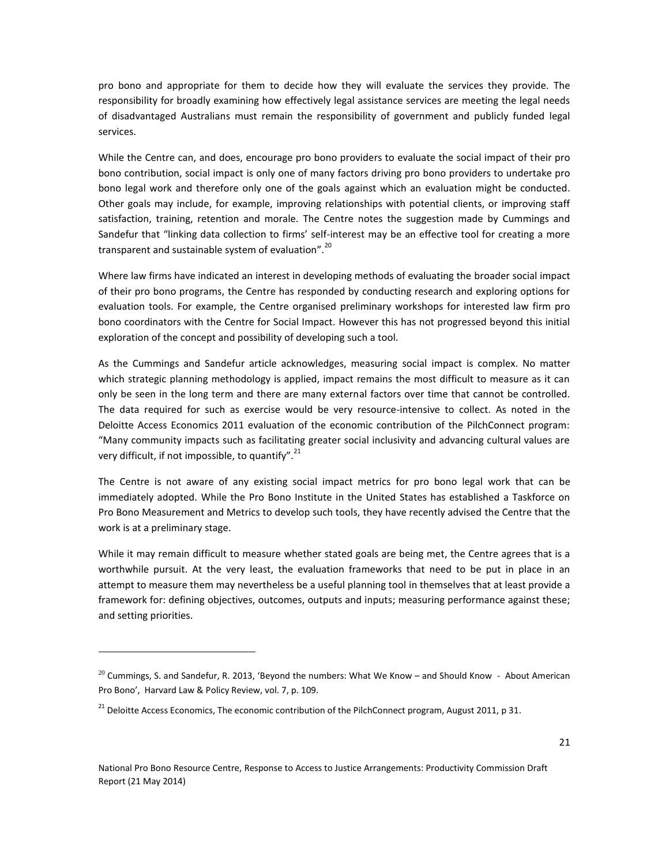pro bono and appropriate for them to decide how they will evaluate the services they provide. The responsibility for broadly examining how effectively legal assistance services are meeting the legal needs of disadvantaged Australians must remain the responsibility of government and publicly funded legal services.

While the Centre can, and does, encourage pro bono providers to evaluate the social impact of their pro bono contribution, social impact is only one of many factors driving pro bono providers to undertake pro bono legal work and therefore only one of the goals against which an evaluation might be conducted. Other goals may include, for example, improving relationships with potential clients, or improving staff satisfaction, training, retention and morale. The Centre notes the suggestion made by Cummings and Sandefur that "linking data collection to firms' self-interest may be an effective tool for creating a more transparent and sustainable system of evaluation".<sup>20</sup>

Where law firms have indicated an interest in developing methods of evaluating the broader social impact of their pro bono programs, the Centre has responded by conducting research and exploring options for evaluation tools. For example, the Centre organised preliminary workshops for interested law firm pro bono coordinators with the Centre for Social Impact. However this has not progressed beyond this initial exploration of the concept and possibility of developing such a tool.

As the Cummings and Sandefur article acknowledges, measuring social impact is complex. No matter which strategic planning methodology is applied, impact remains the most difficult to measure as it can only be seen in the long term and there are many external factors over time that cannot be controlled. The data required for such as exercise would be very resource-intensive to collect. As noted in the Deloitte Access Economics 2011 evaluation of the economic contribution of the PilchConnect program: "Many community impacts such as facilitating greater social inclusivity and advancing cultural values are very difficult, if not impossible, to quantify".<sup>21</sup>

The Centre is not aware of any existing social impact metrics for pro bono legal work that can be immediately adopted. While the Pro Bono Institute in the United States has established a Taskforce on Pro Bono Measurement and Metrics to develop such tools, they have recently advised the Centre that the work is at a preliminary stage.

While it may remain difficult to measure whether stated goals are being met, the Centre agrees that is a worthwhile pursuit. At the very least, the evaluation frameworks that need to be put in place in an attempt to measure them may nevertheless be a useful planning tool in themselves that at least provide a framework for: defining objectives, outcomes, outputs and inputs; measuring performance against these; and setting priorities.

 $^{20}$  Cummings, S. and Sandefur, R. 2013, 'Beyond the numbers: What We Know – and Should Know - About American Pro Bono', Harvard Law & Policy Review, vol. 7, p. 109.

<sup>&</sup>lt;sup>21</sup> Deloitte Access Economics, The economic contribution of the PilchConnect program, August 2011, p 31.